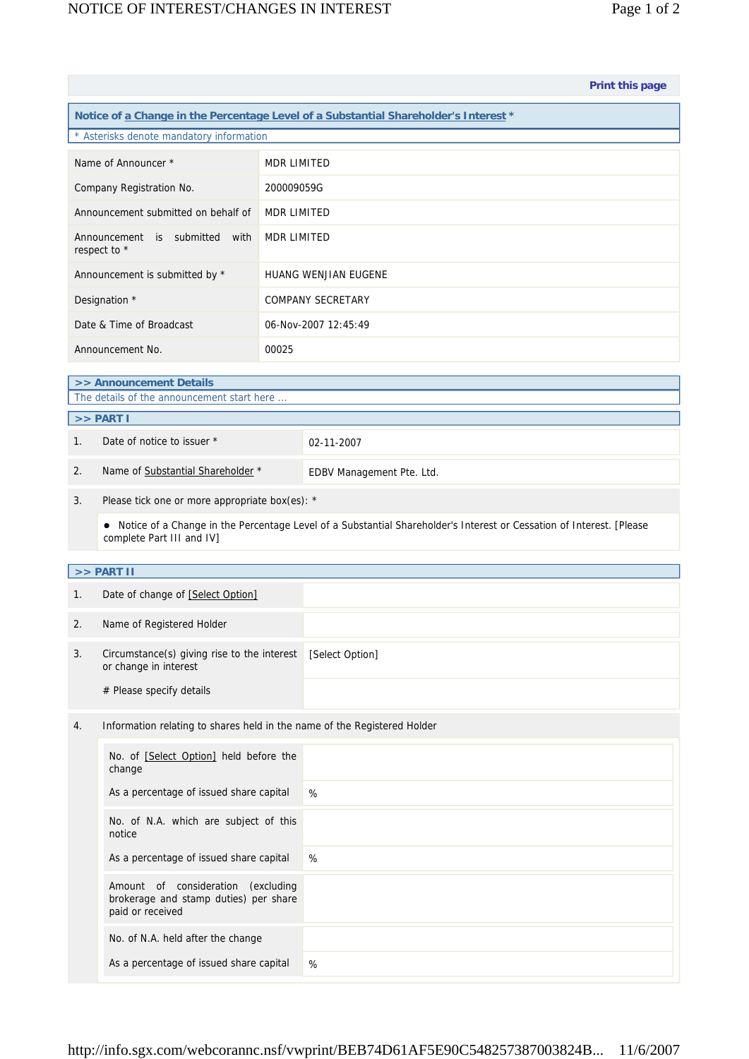|                                                                                      |                                                                                      |                                                                          | Print this page                                                                                                        |  |  |  |  |
|--------------------------------------------------------------------------------------|--------------------------------------------------------------------------------------|--------------------------------------------------------------------------|------------------------------------------------------------------------------------------------------------------------|--|--|--|--|
| Notice of a Change in the Percentage Level of a Substantial Shareholder's Interest * |                                                                                      |                                                                          |                                                                                                                        |  |  |  |  |
| * Asterisks denote mandatory information                                             |                                                                                      |                                                                          |                                                                                                                        |  |  |  |  |
| Name of Announcer *                                                                  |                                                                                      | <b>MDR LIMITED</b>                                                       |                                                                                                                        |  |  |  |  |
| Company Registration No.                                                             |                                                                                      | 200009059G                                                               |                                                                                                                        |  |  |  |  |
| Announcement submitted on behalf of                                                  |                                                                                      | <b>MDR LIMITED</b>                                                       |                                                                                                                        |  |  |  |  |
| Announcement is submitted with<br>respect to *                                       |                                                                                      | <b>MDR LIMITED</b>                                                       |                                                                                                                        |  |  |  |  |
| Announcement is submitted by *                                                       |                                                                                      | <b>HUANG WENJIAN EUGENE</b>                                              |                                                                                                                        |  |  |  |  |
| Designation *                                                                        |                                                                                      | <b>COMPANY SECRETARY</b>                                                 |                                                                                                                        |  |  |  |  |
| Date & Time of Broadcast                                                             |                                                                                      | 06-Nov-2007 12:45:49                                                     |                                                                                                                        |  |  |  |  |
| Announcement No.                                                                     |                                                                                      | 00025                                                                    |                                                                                                                        |  |  |  |  |
| >> Announcement Details                                                              |                                                                                      |                                                                          |                                                                                                                        |  |  |  |  |
| The details of the announcement start here                                           |                                                                                      |                                                                          |                                                                                                                        |  |  |  |  |
| >> PART I                                                                            |                                                                                      |                                                                          |                                                                                                                        |  |  |  |  |
| 1.                                                                                   | Date of notice to issuer *                                                           |                                                                          | 02-11-2007                                                                                                             |  |  |  |  |
| 2.                                                                                   | Name of Substantial Shareholder *                                                    |                                                                          | EDBV Management Pte. Ltd.                                                                                              |  |  |  |  |
| 3.                                                                                   | Please tick one or more appropriate box(es): *                                       |                                                                          |                                                                                                                        |  |  |  |  |
|                                                                                      | complete Part III and IV]                                                            |                                                                          | • Notice of a Change in the Percentage Level of a Substantial Shareholder's Interest or Cessation of Interest. [Please |  |  |  |  |
|                                                                                      | >> PART II                                                                           |                                                                          |                                                                                                                        |  |  |  |  |
| 1.                                                                                   | Date of change of [Select Option]                                                    |                                                                          |                                                                                                                        |  |  |  |  |
| 2.                                                                                   | Name of Registered Holder                                                            |                                                                          |                                                                                                                        |  |  |  |  |
| 3.                                                                                   | Circumstance(s) giving rise to the interest<br>or change in interest                 |                                                                          | [Select Option]                                                                                                        |  |  |  |  |
|                                                                                      | # Please specify details                                                             |                                                                          |                                                                                                                        |  |  |  |  |
| 4.                                                                                   |                                                                                      | Information relating to shares held in the name of the Registered Holder |                                                                                                                        |  |  |  |  |
|                                                                                      | No. of [Select Option] held before the<br>change                                     |                                                                          |                                                                                                                        |  |  |  |  |
|                                                                                      | As a percentage of issued share capital                                              |                                                                          | %                                                                                                                      |  |  |  |  |
|                                                                                      | No. of N.A. which are subject of this<br>notice                                      |                                                                          |                                                                                                                        |  |  |  |  |
|                                                                                      | As a percentage of issued share capital                                              |                                                                          | %                                                                                                                      |  |  |  |  |
|                                                                                      | Amount of consideration<br>brokerage and stamp duties) per share<br>paid or received | (excluding                                                               |                                                                                                                        |  |  |  |  |
|                                                                                      | No. of N.A. held after the change                                                    |                                                                          |                                                                                                                        |  |  |  |  |
|                                                                                      | As a percentage of issued share capital                                              |                                                                          | %                                                                                                                      |  |  |  |  |